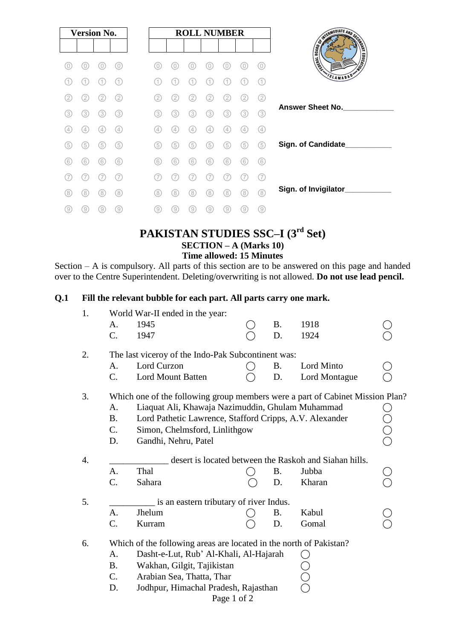| <b>Version No.</b> |     |     |               |
|--------------------|-----|-----|---------------|
|                    |     |     |               |
| 0                  | 0   | 0   | 0)            |
|                    |     |     | 11            |
| 2                  | 2   | 2   | 2             |
| (3)                | (3) | 3   | (3)           |
| (4)                | 4   | 4   | $\frac{1}{2}$ |
| (5)                | (5) | (5) | (5)           |
| (6)                | (6) | (6) | (6)           |
|                    |     |     |               |
| (8)                | 8   | 8   | (8)           |
| 9)                 | 9   | 9   | 9             |

#### **PAKISTAN STUDIES SSC–I (3 rd Set) SECTION – A (Marks 10) Time allowed: 15 Minutes**

Section – A is compulsory. All parts of this section are to be answered on this page and handed over to the Centre Superintendent. Deleting/overwriting is not allowed. **Do not use lead pencil.**

#### **Q.1 Fill the relevant bubble for each part. All parts carry one mark.**

| 1.               |                                                    | World War-II ended in the year:                                               |  |           |               |  |  |  |  |
|------------------|----------------------------------------------------|-------------------------------------------------------------------------------|--|-----------|---------------|--|--|--|--|
|                  | A.                                                 | 1945                                                                          |  | <b>B.</b> | 1918          |  |  |  |  |
|                  | C.                                                 | 1947                                                                          |  | D.        | 1924          |  |  |  |  |
| 2.               | The last viceroy of the Indo-Pak Subcontinent was: |                                                                               |  |           |               |  |  |  |  |
|                  | A.                                                 | Lord Curzon                                                                   |  | <b>B.</b> | Lord Minto    |  |  |  |  |
|                  | C.                                                 | Lord Mount Batten                                                             |  | D.        | Lord Montague |  |  |  |  |
| 3.               |                                                    | Which one of the following group members were a part of Cabinet Mission Plan? |  |           |               |  |  |  |  |
|                  | A.                                                 | Liaquat Ali, Khawaja Nazimuddin, Ghulam Muhammad                              |  |           |               |  |  |  |  |
|                  | <b>B.</b>                                          | Lord Pathetic Lawrence, Stafford Cripps, A.V. Alexander                       |  |           |               |  |  |  |  |
|                  | $C_{\cdot}$                                        | Simon, Chelmsford, Linlithgow                                                 |  |           |               |  |  |  |  |
|                  | D.                                                 | Gandhi, Nehru, Patel                                                          |  |           |               |  |  |  |  |
| $\overline{4}$ . |                                                    | desert is located between the Raskoh and Siahan hills.                        |  |           |               |  |  |  |  |
|                  | $\mathbf{A}$ .                                     | Thal                                                                          |  | Β.        | Jubba         |  |  |  |  |
|                  | $\mathcal{C}$ .                                    | Sahara                                                                        |  | D.        | Kharan        |  |  |  |  |
| 5.               |                                                    | is an eastern tributary of river Indus.                                       |  |           |               |  |  |  |  |
|                  | A.                                                 | Jhelum                                                                        |  | Β.        | Kabul         |  |  |  |  |
|                  | C.                                                 | Kurram                                                                        |  | D.        | Gomal         |  |  |  |  |
| 6.               |                                                    | Which of the following areas are located in the north of Pakistan?            |  |           |               |  |  |  |  |
|                  | A.                                                 | Dasht-e-Lut, Rub' Al-Khali, Al-Hajarah                                        |  |           |               |  |  |  |  |
|                  | <b>B.</b>                                          | Wakhan, Gilgit, Tajikistan                                                    |  |           |               |  |  |  |  |
|                  | $C_{\cdot}$                                        | Arabian Sea, Thatta, Thar                                                     |  |           |               |  |  |  |  |
|                  | D.                                                 | Jodhpur, Himachal Pradesh, Rajasthan                                          |  |           |               |  |  |  |  |
| Page 1 of 2      |                                                    |                                                                               |  |           |               |  |  |  |  |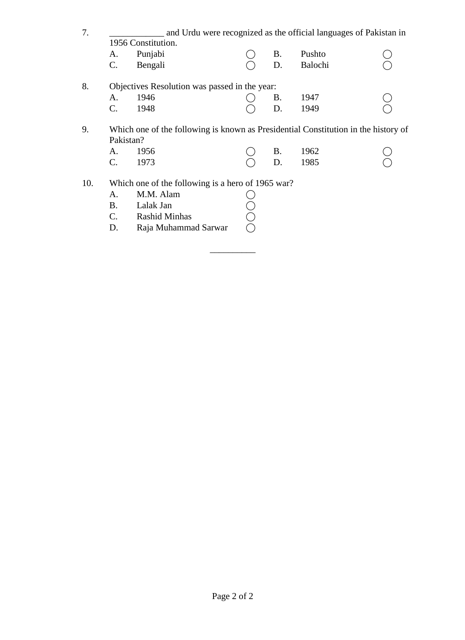| 7.                                                  | and Urdu were recognized as the official languages of Pakistan in                               |                                                   |  |           |         |  |  |  |
|-----------------------------------------------------|-------------------------------------------------------------------------------------------------|---------------------------------------------------|--|-----------|---------|--|--|--|
|                                                     | 1956 Constitution.                                                                              |                                                   |  |           |         |  |  |  |
|                                                     | A.                                                                                              | Punjabi                                           |  | <b>B.</b> | Pushto  |  |  |  |
|                                                     | C.                                                                                              | Bengali                                           |  | D.        | Balochi |  |  |  |
| 8.<br>Objectives Resolution was passed in the year: |                                                                                                 |                                                   |  |           |         |  |  |  |
|                                                     | А.                                                                                              | 1946                                              |  | <b>B.</b> | 1947    |  |  |  |
|                                                     | $C_{\cdot}$                                                                                     | 1948                                              |  | D.        | 1949    |  |  |  |
| 9.                                                  | Which one of the following is known as Presidential Constitution in the history of<br>Pakistan? |                                                   |  |           |         |  |  |  |
|                                                     | A.                                                                                              | 1956                                              |  | <b>B.</b> | 1962    |  |  |  |
|                                                     | $\mathbf{C}$ .                                                                                  | 1973                                              |  | D.        | 1985    |  |  |  |
| 10.                                                 |                                                                                                 | Which one of the following is a hero of 1965 war? |  |           |         |  |  |  |
|                                                     | A.                                                                                              | M.M. Alam                                         |  |           |         |  |  |  |
|                                                     | B.                                                                                              | Lalak Jan                                         |  |           |         |  |  |  |
|                                                     | $\mathbf{C}$ .                                                                                  | <b>Rashid Minhas</b>                              |  |           |         |  |  |  |
|                                                     | D.                                                                                              | Raja Muhammad Sarwar                              |  |           |         |  |  |  |

\_\_\_\_\_\_\_\_\_\_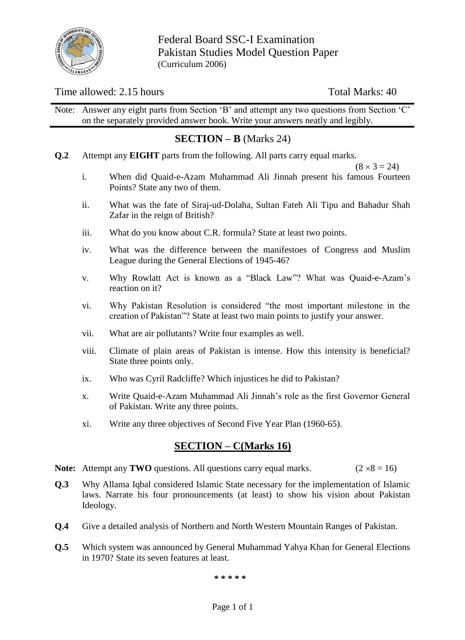

Federal Board SSC-I Examination Pakistan Studies Model Question Paper (Curriculum 2006)

#### Time allowed: 2.15 hours Total Marks: 40

Note: Answer any eight parts from Section 'B' and attempt any two questions from Section 'C' on the separately provided answer book. Write your answers neatly and legibly.

## **SECTION – B** (Marks 24)

**Q.2** Attempt any **EIGHT** parts from the following. All parts carry equal marks.

 $(8 \times 3 = 24)$ 

- i. When did Quaid-e-Azam Muhammad Ali Jinnah present his famous Fourteen Points? State any two of them.
- ii. What was the fate of Siraj-ud-Dolaha, Sultan Fateh Ali Tipu and Bahadur Shah Zafar in the reign of British?
- iii. What do you know about C.R. formula? State at least two points.
- iv. What was the difference between the manifestoes of Congress and Muslim League during the General Elections of 1945-46?
- v. Why Rowlatt Act is known as a "Black Law"? What was Quaid-e-Azam"s reaction on it?
- vi. Why Pakistan Resolution is considered "the most important milestone in the creation of Pakistan"? State at least two main points to justify your answer.
- vii. What are air pollutants? Write four examples as well.
- viii. Climate of plain areas of Pakistan is intense. How this intensity is beneficial? State three points only.
- ix. Who was Cyril Radcliffe? Which injustices he did to Pakistan?
- x. Write Quaid-e-Azam Muhammad Ali Jinnah"s role as the first Governor General of Pakistan. Write any three points.
- xi. Write any three objectives of Second Five Year Plan (1960-65).

### **SECTION – C(Marks 16)**

- **Note:** Attempt any **TWO** questions. All questions carry equal marks. ( $2 \times 8 = 16$ )
- **Q.3** Why Allama Iqbal considered Islamic State necessary for the implementation of Islamic laws. Narrate his four pronouncements (at least) to show his vision about Pakistan Ideology.
- **Q.4** Give a detailed analysis of Northern and North Western Mountain Ranges of Pakistan.
- **Q.5** Which system was announced by General Muhammad Yahya Khan for General Elections in 1970? State its seven features at least.

**\* \* \* \* \***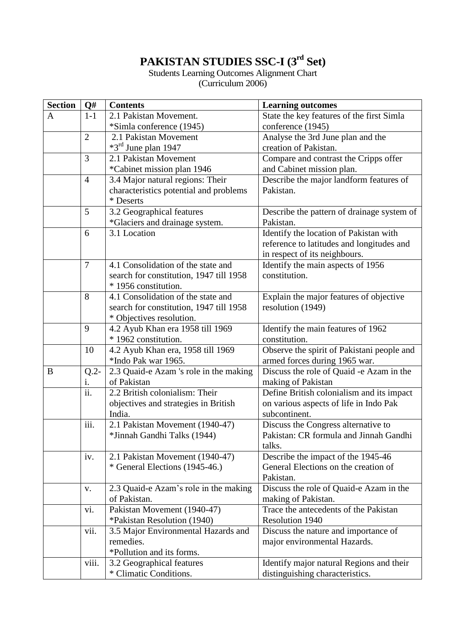# **PAKISTAN STUDIES SSC-I (3rd Set)**

Students Learning Outcomes Alignment Chart (Curriculum 2006)

| <b>Section</b> | Q#                                   | <b>Contents</b>                         | <b>Learning outcomes</b>                   |  |  |
|----------------|--------------------------------------|-----------------------------------------|--------------------------------------------|--|--|
| A              | $1-1$                                | 2.1 Pakistan Movement.                  | State the key features of the first Simla  |  |  |
|                |                                      | *Simla conference (1945)                | conference (1945)                          |  |  |
|                | $\overline{2}$                       | 2.1 Pakistan Movement                   | Analyse the 3rd June plan and the          |  |  |
|                |                                      | $*3^{\text{rd}}$ June plan 1947         | creation of Pakistan.                      |  |  |
|                | 3                                    | 2.1 Pakistan Movement                   | Compare and contrast the Cripps offer      |  |  |
|                |                                      | <i>*</i> Cabinet mission plan 1946      | and Cabinet mission plan.                  |  |  |
|                | $\overline{4}$                       | 3.4 Major natural regions: Their        | Describe the major landform features of    |  |  |
|                |                                      | characteristics potential and problems  | Pakistan.                                  |  |  |
|                |                                      | * Deserts                               |                                            |  |  |
|                | 5                                    | 3.2 Geographical features               | Describe the pattern of drainage system of |  |  |
|                |                                      | *Glaciers and drainage system.          | Pakistan.                                  |  |  |
|                | 3.1 Location<br>6                    |                                         | Identify the location of Pakistan with     |  |  |
|                |                                      |                                         | reference to latitudes and longitudes and  |  |  |
|                |                                      |                                         | in respect of its neighbours.              |  |  |
|                | $\overline{7}$                       | 4.1 Consolidation of the state and      | Identify the main aspects of 1956          |  |  |
|                |                                      | search for constitution, 1947 till 1958 | constitution.                              |  |  |
|                |                                      | * 1956 constitution.                    |                                            |  |  |
|                | 8                                    | 4.1 Consolidation of the state and      | Explain the major features of objective    |  |  |
|                |                                      | search for constitution, 1947 till 1958 | resolution (1949)                          |  |  |
|                |                                      | * Objectives resolution.                |                                            |  |  |
|                | 9                                    | 4.2 Ayub Khan era 1958 till 1969        | Identify the main features of 1962         |  |  |
|                |                                      | * 1962 constitution.                    | constitution.                              |  |  |
|                | 10                                   | 4.2 Ayub Khan era, 1958 till 1969       | Observe the spirit of Pakistani people and |  |  |
|                |                                      | *Indo Pak war 1965.                     | armed forces during 1965 war.              |  |  |
| B              | $Q.2-$                               | 2.3 Quaid-e Azam 's role in the making  | Discuss the role of Quaid -e Azam in the   |  |  |
|                | 1.                                   | of Pakistan                             | making of Pakistan                         |  |  |
|                | ii.                                  | 2.2 British colonialism: Their          | Define British colonialism and its impact  |  |  |
|                | objectives and strategies in British |                                         | on various aspects of life in Indo Pak     |  |  |
|                |                                      | India.                                  | subcontinent.                              |  |  |
|                | iii.                                 | 2.1 Pakistan Movement (1940-47)         | Discuss the Congress alternative to        |  |  |
|                |                                      | *Jinnah Gandhi Talks (1944)             | Pakistan: CR formula and Jinnah Gandhi     |  |  |
|                |                                      |                                         | talks.                                     |  |  |
|                | iv.                                  | 2.1 Pakistan Movement (1940-47)         | Describe the impact of the 1945-46         |  |  |
|                |                                      | * General Elections (1945-46.)          | General Elections on the creation of       |  |  |
|                |                                      |                                         | Pakistan.                                  |  |  |
|                | V.                                   | 2.3 Quaid-e Azam's role in the making   | Discuss the role of Quaid-e Azam in the    |  |  |
|                |                                      | of Pakistan.                            | making of Pakistan.                        |  |  |
|                | vi.                                  | Pakistan Movement (1940-47)             | Trace the antecedents of the Pakistan      |  |  |
|                |                                      | *Pakistan Resolution (1940)             | Resolution 1940                            |  |  |
|                | vii.                                 | 3.5 Major Environmental Hazards and     | Discuss the nature and importance of       |  |  |
|                |                                      | remedies.                               | major environmental Hazards.               |  |  |
|                |                                      | *Pollution and its forms.               |                                            |  |  |
|                | viii.                                | 3.2 Geographical features               | Identify major natural Regions and their   |  |  |
|                |                                      | * Climatic Conditions.                  | distinguishing characteristics.            |  |  |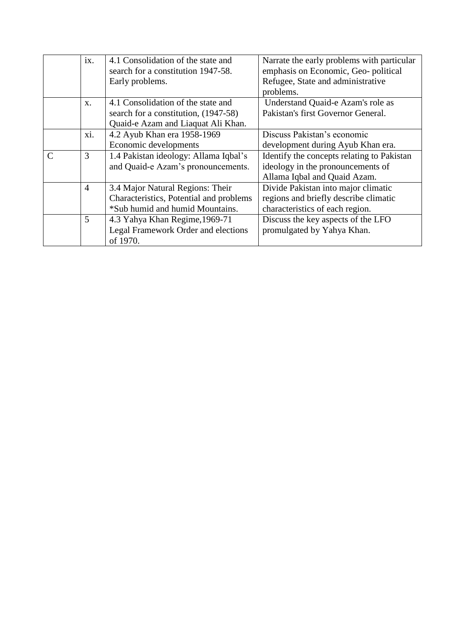|               | ix.            | 4.1 Consolidation of the state and      | Narrate the early problems with particular |  |  |
|---------------|----------------|-----------------------------------------|--------------------------------------------|--|--|
|               |                | search for a constitution 1947-58.      | emphasis on Economic, Geo-political        |  |  |
|               |                | Early problems.                         | Refugee, State and administrative          |  |  |
|               |                |                                         | problems.                                  |  |  |
|               | $X$ .          | 4.1 Consolidation of the state and      | Understand Quaid-e Azam's role as          |  |  |
|               |                | search for a constitution, (1947-58)    | Pakistan's first Governor General.         |  |  |
|               |                | Quaid-e Azam and Liaquat Ali Khan.      |                                            |  |  |
|               | xi.            | 4.2 Ayub Khan era 1958-1969             | Discuss Pakistan's economic                |  |  |
|               |                | Economic developments                   | development during Ayub Khan era.          |  |  |
| $\mathcal{C}$ | 3              | 1.4 Pakistan ideology: Allama Iqbal's   | Identify the concepts relating to Pakistan |  |  |
|               |                | and Quaid-e Azam's pronouncements.      | ideology in the pronouncements of          |  |  |
|               |                |                                         | Allama Iqbal and Quaid Azam.               |  |  |
|               | $\overline{4}$ | 3.4 Major Natural Regions: Their        | Divide Pakistan into major climatic        |  |  |
|               |                | Characteristics, Potential and problems | regions and briefly describe climatic      |  |  |
|               |                | *Sub humid and humid Mountains.         | characteristics of each region.            |  |  |
|               | 5              | 4.3 Yahya Khan Regime, 1969-71          | Discuss the key aspects of the LFO         |  |  |
|               |                | Legal Framework Order and elections     | promulgated by Yahya Khan.                 |  |  |
|               |                | of 1970.                                |                                            |  |  |